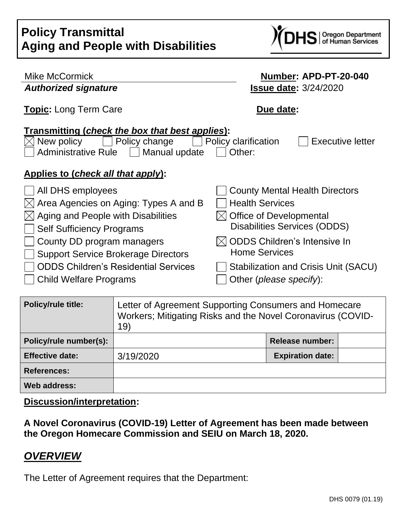

| Mike McCormick                                                             | Number: APD-PT-20-040                                     |  |  |
|----------------------------------------------------------------------------|-----------------------------------------------------------|--|--|
| <b>Authorized signature</b>                                                | <b>Issue date: 3/24/2020</b>                              |  |  |
| <b>Topic:</b> Long Term Care                                               | Due date:                                                 |  |  |
| <b>Transmitting (check the box that best applies):</b>                     |                                                           |  |  |
| Policy change<br>New policy<br><b>Administrative Rule</b><br>Manual update | Policy clarification<br><b>Executive letter</b><br>Other: |  |  |
|                                                                            |                                                           |  |  |
| Applies to (check all that apply):                                         |                                                           |  |  |
| All DHS employees                                                          | <b>County Mental Health Directors</b>                     |  |  |
| Area Agencies on Aging: Types A and B<br>IХI                               | <b>Health Services</b>                                    |  |  |
| Aging and People with Disabilities                                         | <b>Office of Developmental</b>                            |  |  |
| <b>Self Sufficiency Programs</b>                                           | <b>Disabilities Services (ODDS)</b>                       |  |  |
| County DD program managers                                                 | <b>ODDS Children's Intensive In</b>                       |  |  |
| <b>Support Service Brokerage Directors</b>                                 | <b>Home Services</b>                                      |  |  |
| <b>ODDS Children's Residential Services</b>                                | Stabilization and Crisis Unit (SACU)                      |  |  |
| <b>Child Welfare Programs</b>                                              | Other (please specify):                                   |  |  |
|                                                                            |                                                           |  |  |
| بملئئه وابرس والمل                                                         | Letter of Aguacocaut Ourse outlie a Occasion and Llame    |  |  |

| <b>Policy/rule title:</b> | Letter of Agreement Supporting Consumers and Homecare<br>Workers; Mitigating Risks and the Novel Coronavirus (COVID-<br>19) |                         |  |
|---------------------------|-----------------------------------------------------------------------------------------------------------------------------|-------------------------|--|
| Policy/rule number(s):    |                                                                                                                             | <b>Release number:</b>  |  |
| <b>Effective date:</b>    | 3/19/2020                                                                                                                   | <b>Expiration date:</b> |  |
| <b>References:</b>        |                                                                                                                             |                         |  |
| Web address:              |                                                                                                                             |                         |  |

**Discussion/interpretation:**

**A Novel Coronavirus (COVID-19) Letter of Agreement has been made between the Oregon Homecare Commission and SEIU on March 18, 2020.**

# *OVERVIEW*

The Letter of Agreement requires that the Department: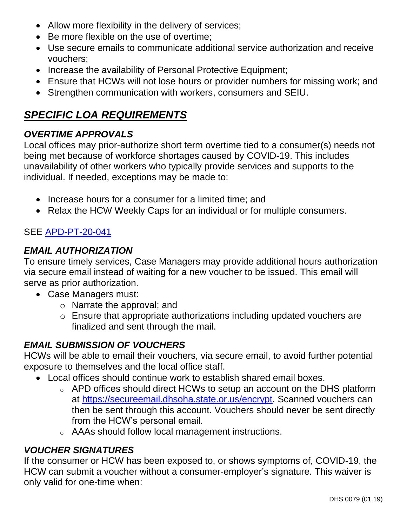- Allow more flexibility in the delivery of services;
- Be more flexible on the use of overtime;
- Use secure emails to communicate additional service authorization and receive vouchers;
- Increase the availability of Personal Protective Equipment;
- Ensure that HCWs will not lose hours or provider numbers for missing work; and
- Strengthen communication with workers, consumers and SEIU.

# *SPECIFIC LOA REQUIREMENTS*

### *OVERTIME APPROVALS*

Local offices may prior-authorize short term overtime tied to a consumer(s) needs not being met because of workforce shortages caused by COVID-19. This includes unavailability of other workers who typically provide services and supports to the individual. If needed, exceptions may be made to:

- Increase hours for a consumer for a limited time; and
- Relax the HCW Weekly Caps for an individual or for multiple consumers.

# SEE [APD-PT-20-041](http://www.dhs.state.or.us/policy/spd/transmit/pt/2020/pt20041.pdf)

### *EMAIL AUTHORIZATION*

To ensure timely services, Case Managers may provide additional hours authorization via secure email instead of waiting for a new voucher to be issued. This email will serve as prior authorization.

- Case Managers must:
	- o Narrate the approval; and
	- o Ensure that appropriate authorizations including updated vouchers are finalized and sent through the mail.

### *EMAIL SUBMISSION OF VOUCHERS*

HCWs will be able to email their vouchers, via secure email, to avoid further potential exposure to themselves and the local office staff.

- Local offices should continue work to establish shared email boxes.
	- o APD offices should direct HCWs to setup an account on the DHS platform at [https://secureemail.dhsoha.state.or.us/encrypt.](https://secureemail.dhsoha.state.or.us/encrypt) Scanned vouchers can then be sent through this account. Vouchers should never be sent directly from the HCW's personal email.
	- o AAAs should follow local management instructions.

### *VOUCHER SIGNATURES*

If the consumer or HCW has been exposed to, or shows symptoms of, COVID-19, the HCW can submit a voucher without a consumer-employer's signature. This waiver is only valid for one-time when: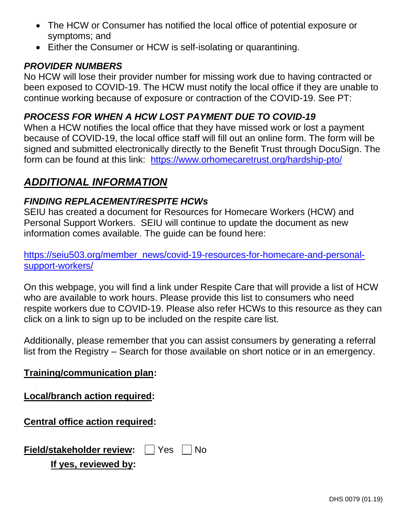- The HCW or Consumer has notified the local office of potential exposure or symptoms; and
- Either the Consumer or HCW is self-isolating or quarantining.

#### *PROVIDER NUMBERS*

No HCW will lose their provider number for missing work due to having contracted or been exposed to COVID-19. The HCW must notify the local office if they are unable to continue working because of exposure or contraction of the COVID-19. See PT:

#### *PROCESS FOR WHEN A HCW LOST PAYMENT DUE TO COVID-19*

When a HCW notifies the local office that they have missed work or lost a payment because of COVID-19, the local office staff will fill out an online form. The form will be signed and submitted electronically directly to the Benefit Trust through DocuSign. The form can be found at this link: <https://www.orhomecaretrust.org/hardship-pto/>

# *ADDITIONAL INFORMATION*

### *FINDING REPLACEMENT/RESPITE HCWs*

SEIU has created a document for Resources for Homecare Workers (HCW) and Personal Support Workers. SEIU will continue to update the document as new information comes available. The guide can be found here:

### [https://seiu503.org/member\\_news/covid-19-resources-for-homecare-and-personal](https://seiu503.org/member_news/covid-19-resources-for-homecare-and-personal-support-workers/)[support-workers/](https://seiu503.org/member_news/covid-19-resources-for-homecare-and-personal-support-workers/)

On this webpage, you will find a link under Respite Care that will provide a list of HCW who are available to work hours. Please provide this list to consumers who need respite workers due to COVID-19. Please also refer HCWs to this resource as they can click on a link to sign up to be included on the respite care list.

Additionally, please remember that you can assist consumers by generating a referral list from the Registry – Search for those available on short notice or in an emergency.

#### **Training/communication plan:**

### **Local/branch action required:**

### **Central office action required:**

| Field/stakeholder review: $\Box$ Yes $\Box$ No |  |  |  |
|------------------------------------------------|--|--|--|
|                                                |  |  |  |

### **If yes, reviewed by:**